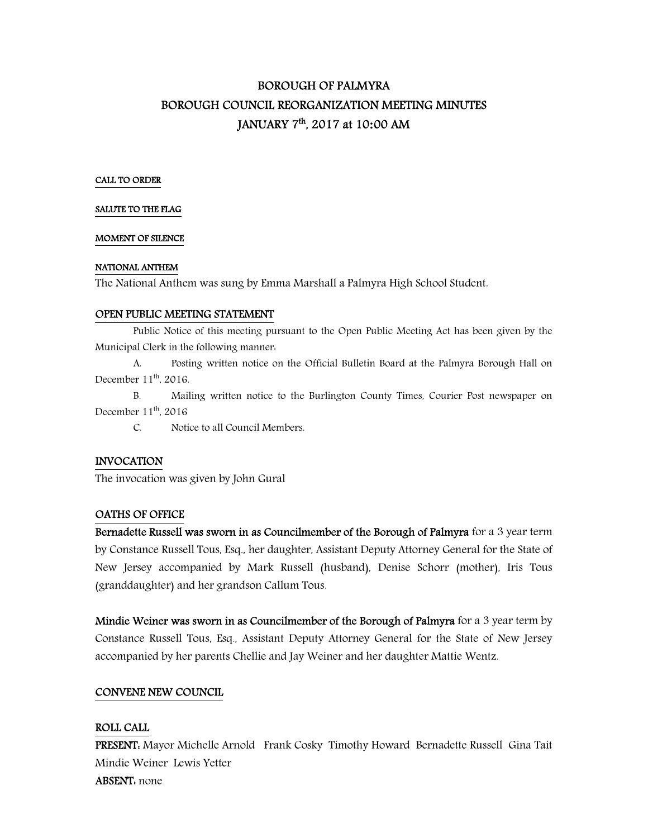# BOROUGH OF PALMYRA BOROUGH COUNCIL REORGANIZATION MEETING MINUTES JANUARY 7 th, 2017 at 10**:**00 AM

#### CALL TO ORDER

#### SALUTE TO THE FLAG

#### MOMENT OF SILENCE

#### NATIONAL ANTHEM

The National Anthem was sung by Emma Marshall a Palmyra High School Student.

#### OPEN PUBLIC MEETING STATEMENT

 Public Notice of this meeting pursuant to the Open Public Meeting Act has been given by the Municipal Clerk in the following manner:

 A. Posting written notice on the Official Bulletin Board at the Palmyra Borough Hall on December 11<sup>th</sup>, 2016.

 B. Mailing written notice to the Burlington County Times, Courier Post newspaper on December  $11<sup>th</sup>$ , 2016

C. Notice to all Council Members.

## INVOCATION

The invocation was given by John Gural

#### OATHS OF OFFICE

Bernadette Russell was sworn in as Councilmember of the Borough of Palmyra for a 3 year term by Constance Russell Tous, Esq., her daughter, Assistant Deputy Attorney General for the State of New Jersey accompanied by Mark Russell (husband), Denise Schorr (mother), Iris Tous (granddaughter) and her grandson Callum Tous.

Mindie Weiner was sworn in as Councilmember of the Borough of Palmyra for a 3 year term by Constance Russell Tous, Esq., Assistant Deputy Attorney General for the State of New Jersey accompanied by her parents Chellie and Jay Weiner and her daughter Mattie Wentz.

#### CONVENE NEW COUNCIL

#### ROLL CALL

PRESENT: Mayor Michelle Arnold Frank Cosky Timothy Howard Bernadette Russell Gina Tait Mindie Weiner Lewis Yetter ABSENT: none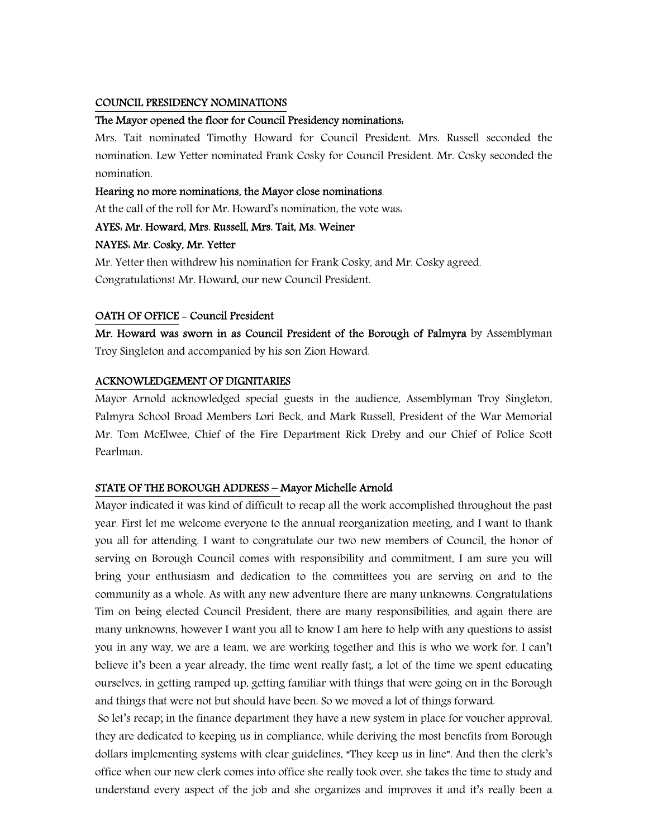#### COUNCIL PRESIDENCY NOMINATIONS

#### The Mayor opened the floor for Council Presidency nominations:

Mrs. Tait nominated Timothy Howard for Council President. Mrs. Russell seconded the nomination. Lew Yetter nominated Frank Cosky for Council President. Mr. Cosky seconded the nomination.

#### Hearing no more nominations, the Mayor close nominations.

At the call of the roll for Mr. Howard's nomination, the vote was:

## AYES: Mr. Howard, Mrs. Russell, Mrs. Tait, Ms. Weiner

## NAYES: Mr. Cosky, Mr. Yetter

Mr. Yetter then withdrew his nomination for Frank Cosky, and Mr. Cosky agreed. Congratulations! Mr. Howard, our new Council President.

## OATH OF OFFICE - Council President

Mr. Howard was sworn in as Council President of the Borough of Palmyra by Assemblyman Troy Singleton and accompanied by his son Zion Howard.

## ACKNOWLEDGEMENT OF DIGNITARIES

Mayor Arnold acknowledged special guests in the audience, Assemblyman Troy Singleton, Palmyra School Broad Members Lori Beck, and Mark Russell, President of the War Memorial Mr. Tom McElwee, Chief of the Fire Department Rick Dreby and our Chief of Police Scott Pearlman.

## STATE OF THE BOROUGH ADDRESS – Mayor Michelle Arnold

Mayor indicated it was kind of difficult to recap all the work accomplished throughout the past year. First let me welcome everyone to the annual reorganization meeting, and I want to thank you all for attending. I want to congratulate our two new members of Council, the honor of serving on Borough Council comes with responsibility and commitment, I am sure you will bring your enthusiasm and dedication to the committees you are serving on and to the community as a whole. As with any new adventure there are many unknowns. Congratulations Tim on being elected Council President, there are many responsibilities, and again there are many unknowns, however I want you all to know I am here to help with any questions to assist you in any way, we are a team, we are working together and this is who we work for. I can't believe it's been a year already, the time went really fast;, a lot of the time we spent educating ourselves, in getting ramped up, getting familiar with things that were going on in the Borough and things that were not but should have been. So we moved a lot of things forward.

 So let's recap; in the finance department they have a new system in place for voucher approval, they are dedicated to keeping us in compliance, while deriving the most benefits from Borough dollars implementing systems with clear guidelines, "They keep us in line". And then the clerk's office when our new clerk comes into office she really took over, she takes the time to study and understand every aspect of the job and she organizes and improves it and it's really been a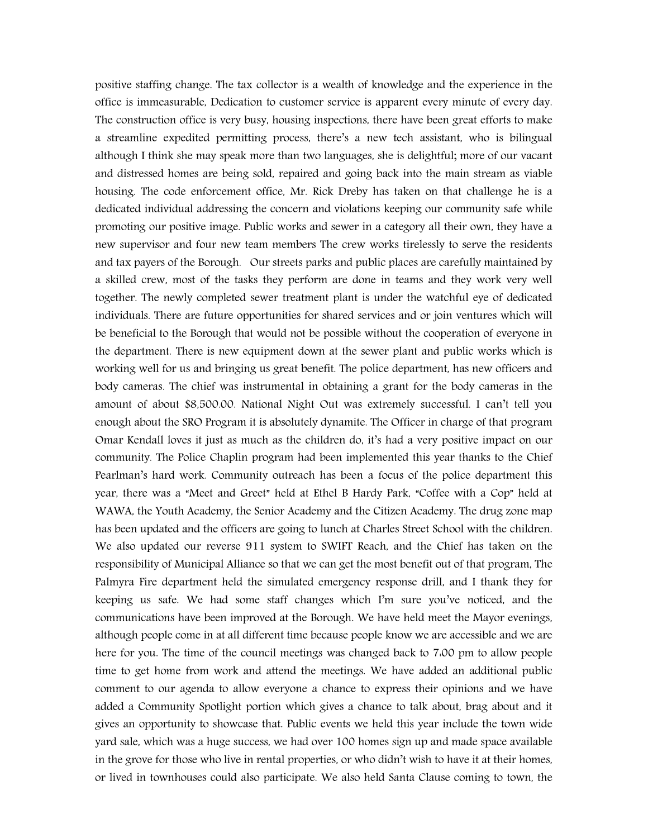positive staffing change. The tax collector is a wealth of knowledge and the experience in the office is immeasurable, Dedication to customer service is apparent every minute of every day. The construction office is very busy, housing inspections, there have been great efforts to make a streamline expedited permitting process, there's a new tech assistant, who is bilingual although I think she may speak more than two languages, she is delightful; more of our vacant and distressed homes are being sold, repaired and going back into the main stream as viable housing. The code enforcement office, Mr. Rick Dreby has taken on that challenge he is a dedicated individual addressing the concern and violations keeping our community safe while promoting our positive image. Public works and sewer in a category all their own, they have a new supervisor and four new team members The crew works tirelessly to serve the residents and tax payers of the Borough. Our streets parks and public places are carefully maintained by a skilled crew, most of the tasks they perform are done in teams and they work very well together. The newly completed sewer treatment plant is under the watchful eye of dedicated individuals. There are future opportunities for shared services and or join ventures which will be beneficial to the Borough that would not be possible without the cooperation of everyone in the department. There is new equipment down at the sewer plant and public works which is working well for us and bringing us great benefit. The police department, has new officers and body cameras. The chief was instrumental in obtaining a grant for the body cameras in the amount of about \$8,500.00. National Night Out was extremely successful. I can't tell you enough about the SRO Program it is absolutely dynamite. The Officer in charge of that program Omar Kendall loves it just as much as the children do, it's had a very positive impact on our community. The Police Chaplin program had been implemented this year thanks to the Chief Pearlman's hard work. Community outreach has been a focus of the police department this year, there was a "Meet and Greet" held at Ethel B Hardy Park, "Coffee with a Cop" held at WAWA, the Youth Academy, the Senior Academy and the Citizen Academy. The drug zone map has been updated and the officers are going to lunch at Charles Street School with the children. We also updated our reverse 911 system to SWIFT Reach, and the Chief has taken on the responsibility of Municipal Alliance so that we can get the most benefit out of that program, The Palmyra Fire department held the simulated emergency response drill, and I thank they for keeping us safe. We had some staff changes which I'm sure you've noticed, and the communications have been improved at the Borough. We have held meet the Mayor evenings, although people come in at all different time because people know we are accessible and we are here for you. The time of the council meetings was changed back to 7:00 pm to allow people time to get home from work and attend the meetings. We have added an additional public comment to our agenda to allow everyone a chance to express their opinions and we have added a Community Spotlight portion which gives a chance to talk about, brag about and it gives an opportunity to showcase that. Public events we held this year include the town wide yard sale, which was a huge success, we had over 100 homes sign up and made space available in the grove for those who live in rental properties, or who didn't wish to have it at their homes, or lived in townhouses could also participate. We also held Santa Clause coming to town, the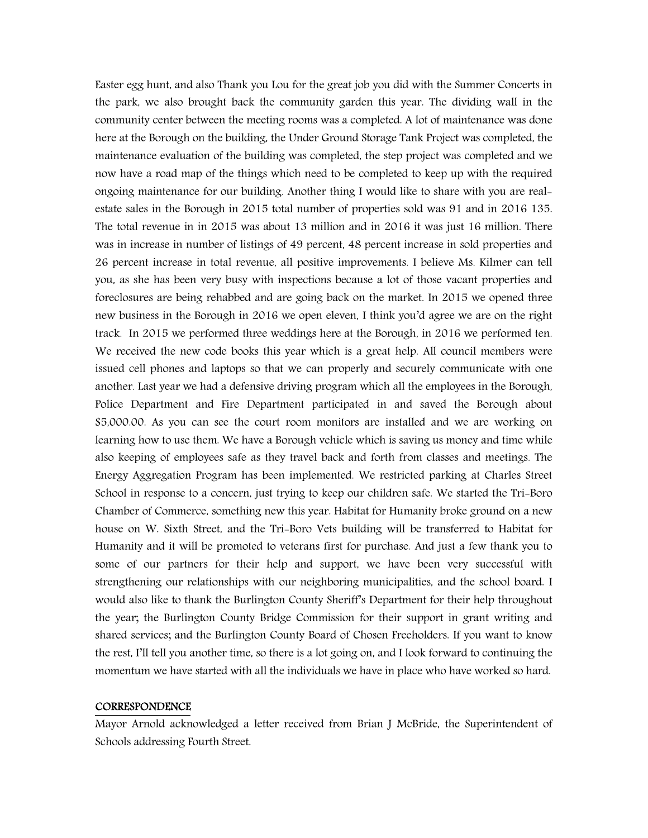Easter egg hunt, and also Thank you Lou for the great job you did with the Summer Concerts in the park, we also brought back the community garden this year. The dividing wall in the community center between the meeting rooms was a completed. A lot of maintenance was done here at the Borough on the building, the Under Ground Storage Tank Project was completed, the maintenance evaluation of the building was completed, the step project was completed and we now have a road map of the things which need to be completed to keep up with the required ongoing maintenance for our building. Another thing I would like to share with you are realestate sales in the Borough in 2015 total number of properties sold was 91 and in 2016 135. The total revenue in in 2015 was about 13 million and in 2016 it was just 16 million. There was in increase in number of listings of 49 percent, 48 percent increase in sold properties and 26 percent increase in total revenue, all positive improvements. I believe Ms. Kilmer can tell you, as she has been very busy with inspections because a lot of those vacant properties and foreclosures are being rehabbed and are going back on the market. In 2015 we opened three new business in the Borough in 2016 we open eleven, I think you'd agree we are on the right track. In 2015 we performed three weddings here at the Borough, in 2016 we performed ten. We received the new code books this year which is a great help. All council members were issued cell phones and laptops so that we can properly and securely communicate with one another. Last year we had a defensive driving program which all the employees in the Borough, Police Department and Fire Department participated in and saved the Borough about \$5,000.00. As you can see the court room monitors are installed and we are working on learning how to use them. We have a Borough vehicle which is saving us money and time while also keeping of employees safe as they travel back and forth from classes and meetings. The Energy Aggregation Program has been implemented. We restricted parking at Charles Street School in response to a concern, just trying to keep our children safe. We started the Tri-Boro Chamber of Commerce, something new this year. Habitat for Humanity broke ground on a new house on W. Sixth Street, and the Tri-Boro Vets building will be transferred to Habitat for Humanity and it will be promoted to veterans first for purchase. And just a few thank you to some of our partners for their help and support, we have been very successful with strengthening our relationships with our neighboring municipalities, and the school board. I would also like to thank the Burlington County Sheriff's Department for their help throughout the year; the Burlington County Bridge Commission for their support in grant writing and shared services; and the Burlington County Board of Chosen Freeholders. If you want to know the rest, I'll tell you another time, so there is a lot going on, and I look forward to continuing the momentum we have started with all the individuals we have in place who have worked so hard.

#### **CORRESPONDENCE**

Mayor Arnold acknowledged a letter received from Brian J McBride, the Superintendent of Schools addressing Fourth Street.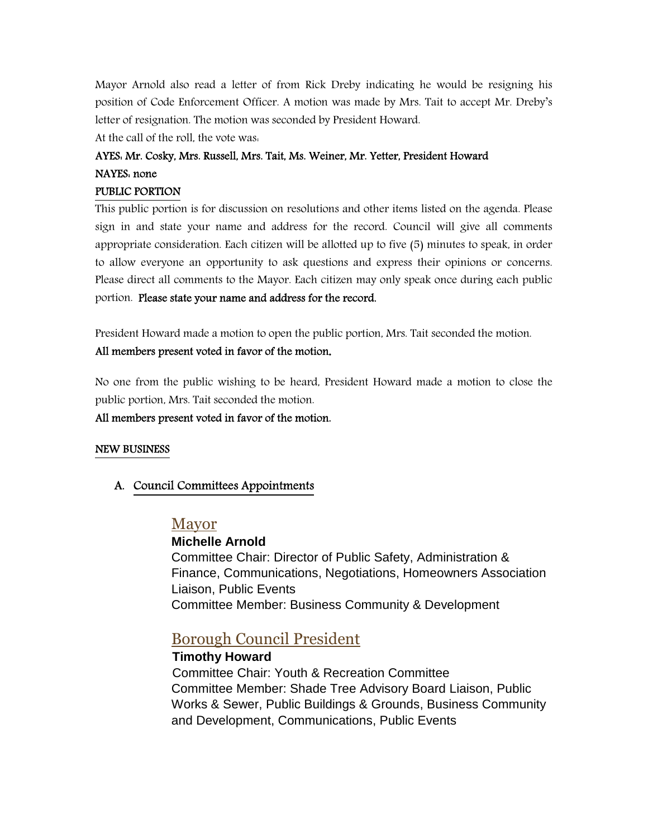Mayor Arnold also read a letter of from Rick Dreby indicating he would be resigning his position of Code Enforcement Officer. A motion was made by Mrs. Tait to accept Mr. Dreby's letter of resignation. The motion was seconded by President Howard.

At the call of the roll, the vote was:

# AYES: Mr. Cosky, Mrs. Russell, Mrs. Tait, Ms. Weiner, Mr. Yetter, President Howard NAYES: none

## PUBLIC PORTION

This public portion is for discussion on resolutions and other items listed on the agenda. Please sign in and state your name and address for the record. Council will give all comments appropriate consideration. Each citizen will be allotted up to five (5) minutes to speak, in order to allow everyone an opportunity to ask questions and express their opinions or concerns. Please direct all comments to the Mayor. Each citizen may only speak once during each public portion. Please state your name and address for the record.

President Howard made a motion to open the public portion, Mrs. Tait seconded the motion.

## All members present voted in favor of the motion**.**

No one from the public wishing to be heard, President Howard made a motion to close the public portion, Mrs. Tait seconded the motion.

## All members present voted in favor of the motion.

## NEW BUSINESS

## A. Council Committees Appointments

## Mayor

# **Michelle Arnold**

Committee Chair: Director of Public Safety, Administration & Finance, Communications, Negotiations, Homeowners Association Liaison, Public Events Committee Member: Business Community & Development

# Borough Council President

## **Timothy Howard**

 Committee Chair: Youth & Recreation Committee Committee Member: Shade Tree Advisory Board Liaison, Public Works & Sewer, Public Buildings & Grounds, Business Community and Development, Communications, Public Events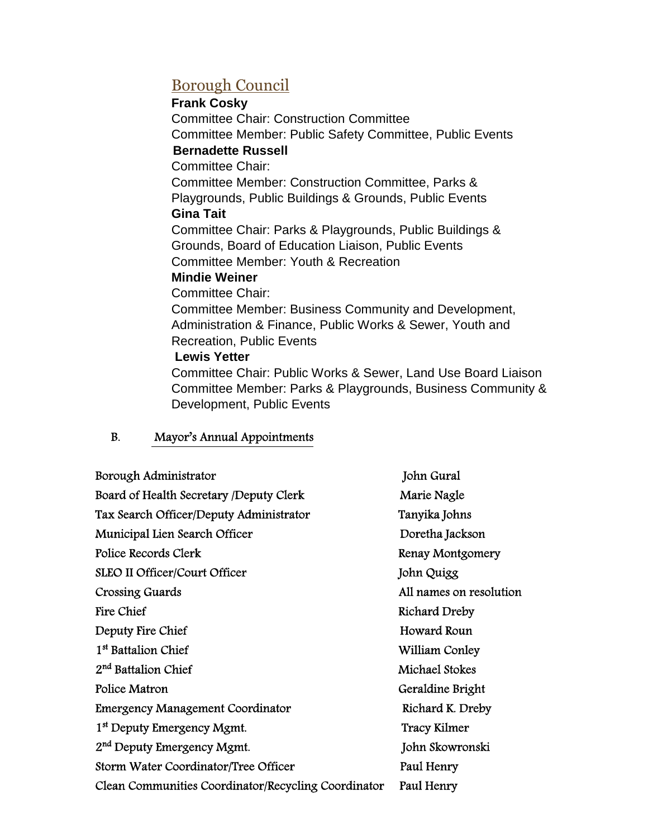# Borough Council

# **Frank Cosky**

Committee Chair: Construction Committee Committee Member: Public Safety Committee, Public Events  **Bernadette Russell**  Committee Chair: Committee Member: Construction Committee, Parks & Playgrounds, Public Buildings & Grounds, Public Events **Gina Tait**  Committee Chair: Parks & Playgrounds, Public Buildings & Grounds, Board of Education Liaison, Public Events Committee Member: Youth & Recreation **Mindie Weiner**  Committee Chair: Committee Member: Business Community and Development,

Administration & Finance, Public Works & Sewer, Youth and Recreation, Public Events

# **Lewis Yetter**

Committee Chair: Public Works & Sewer, Land Use Board Liaison Committee Member: Parks & Playgrounds, Business Community & Development, Public Events

# B. Mayor's Annual Appointments

| Borough Administrator                               | John Gural              |
|-----------------------------------------------------|-------------------------|
| Board of Health Secretary /Deputy Clerk             | Marie Nagle             |
| Tax Search Officer/Deputy Administrator             | Tanyika Johns           |
| Municipal Lien Search Officer                       | Doretha Jackson         |
| Police Records Clerk                                | Renay Montgomery        |
| <b>SLEO II Officer/Court Officer</b>                | John Quigg              |
| <b>Crossing Guards</b>                              | All names on resolution |
| <b>Fire Chief</b>                                   | Richard Dreby           |
| Deputy Fire Chief                                   | Howard Roun             |
| 1 <sup>st</sup> Battalion Chief                     | William Conley          |
| 2 <sup>nd</sup> Battalion Chief                     | Michael Stokes          |
| Police Matron                                       | Geraldine Bright        |
| <b>Emergency Management Coordinator</b>             | Richard K. Dreby        |
| 1 <sup>st</sup> Deputy Emergency Mgmt.              | <b>Tracy Kilmer</b>     |
| 2 <sup>nd</sup> Deputy Emergency Mgmt.              | John Skowronski         |
| Storm Water Coordinator/Tree Officer                | Paul Henry              |
| Clean Communities Coordinator/Recycling Coordinator | Paul Henry              |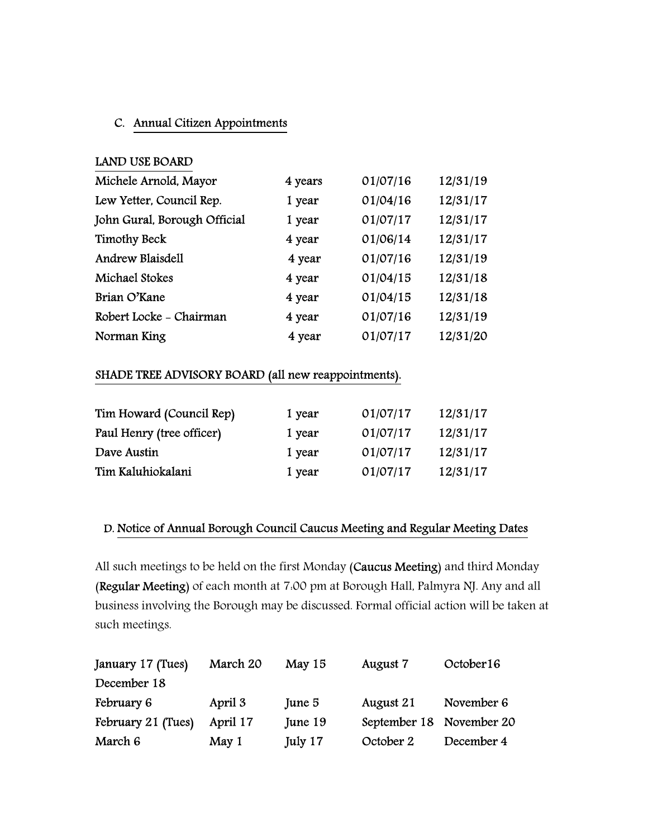# C. Annual Citizen Appointments

# LAND USE BOARD

| Michele Arnold, Mayor        | 4 years | 01/07/16 | 12/31/19 |
|------------------------------|---------|----------|----------|
| Lew Yetter, Council Rep.     | 1 year  | 01/04/16 | 12/31/17 |
| John Gural, Borough Official | 1 year  | 01/07/17 | 12/31/17 |
| <b>Timothy Beck</b>          | 4 year  | 01/06/14 | 12/31/17 |
| Andrew Blaisdell             | 4 year  | 01/07/16 | 12/31/19 |
| Michael Stokes               | 4 year  | 01/04/15 | 12/31/18 |
| Brian O'Kane                 | 4 year  | 01/04/15 | 12/31/18 |
| Robert Locke - Chairman      | 4 year  | 01/07/16 | 12/31/19 |
| Norman King                  | 4 year  | 01/07/17 | 12/31/20 |

## SHADE TREE ADVISORY BOARD (all new reappointments).

| Tim Howard (Council Rep)  | 1 year | 01/07/17 | 12/31/17 |
|---------------------------|--------|----------|----------|
| Paul Henry (tree officer) | 1 year | 01/07/17 | 12/31/17 |
| Dave Austin               | 1 year | 01/07/17 | 12/31/17 |
| Tim Kaluhiokalani         | 1 year | 01/07/17 | 12/31/17 |

## D. Notice of Annual Borough Council Caucus Meeting and Regular Meeting Dates

All such meetings to be held on the first Monday (Caucus Meeting) and third Monday (Regular Meeting) of each month at 7:00 pm at Borough Hall, Palmyra NJ. Any and all business involving the Borough may be discussed. Formal official action will be taken at such meetings.

| January 17 (Tues)  | March 20 | May $15$ | August 7                 | October 16 |
|--------------------|----------|----------|--------------------------|------------|
| December 18        |          |          |                          |            |
| February 6         | April 3  | June 5   | August 21                | November 6 |
| February 21 (Tues) | April 17 | June 19  | September 18 November 20 |            |
| March 6            | May 1    | July 17  | October 2                | December 4 |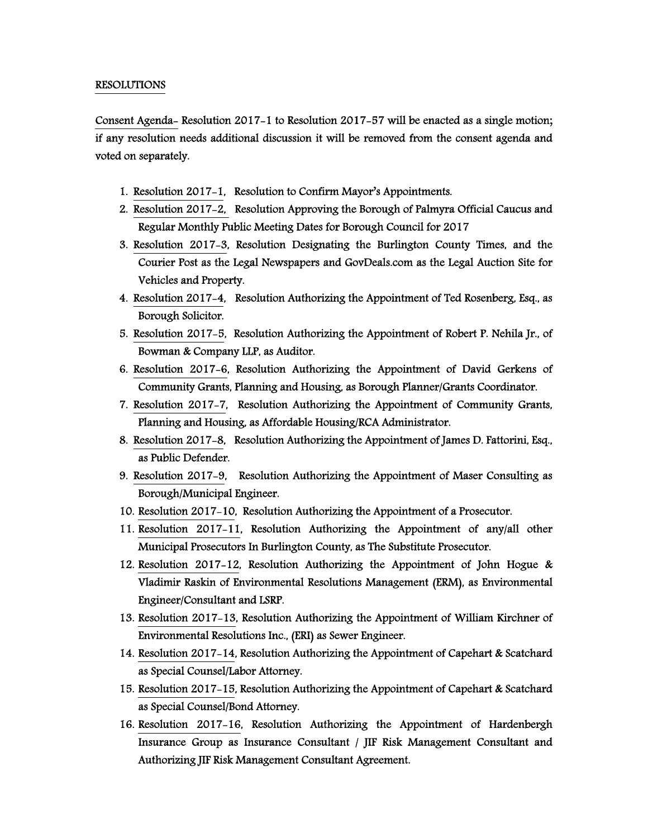#### RESOLUTIONS

Consent Agenda- Resolution 2017-1 to Resolution 2017-57 will be enacted as a single motion; if any resolution needs additional discussion it will be removed from the consent agenda and voted on separately.

- 1. Resolution 2017-1, Resolution to Confirm Mayor's Appointments.
- 2. Resolution 2017-2, Resolution Approving the Borough of Palmyra Official Caucus and Regular Monthly Public Meeting Dates for Borough Council for 2017
- 3. Resolution 2017-3, Resolution Designating the Burlington County Times, and the Courier Post as the Legal Newspapers and GovDeals.com as the Legal Auction Site for Vehicles and Property.
- 4. Resolution 2017-4, Resolution Authorizing the Appointment of Ted Rosenberg, Esq., as Borough Solicitor.
- 5. Resolution 2017-5, Resolution Authorizing the Appointment of Robert P. Nehila Jr., of Bowman & Company LLP, as Auditor.
- 6. Resolution 2017-6, Resolution Authorizing the Appointment of David Gerkens of Community Grants, Planning and Housing, as Borough Planner/Grants Coordinator.
- 7. Resolution 2017-7, Resolution Authorizing the Appointment of Community Grants, Planning and Housing, as Affordable Housing/RCA Administrator.
- 8. Resolution 2017-8, Resolution Authorizing the Appointment of James D. Fattorini, Esq., as Public Defender.
- 9. Resolution 2017-9, Resolution Authorizing the Appointment of Maser Consulting as Borough/Municipal Engineer.
- 10. Resolution 2017-10, Resolution Authorizing the Appointment of a Prosecutor.
- 11. Resolution 2017-11, Resolution Authorizing the Appointment of any/all other Municipal Prosecutors In Burlington County, as The Substitute Prosecutor.
- 12. Resolution 2017-12, Resolution Authorizing the Appointment of John Hogue & Vladimir Raskin of Environmental Resolutions Management (ERM), as Environmental Engineer/Consultant and LSRP.
- 13. Resolution 2017-13, Resolution Authorizing the Appointment of William Kirchner of Environmental Resolutions Inc., (ERI) as Sewer Engineer.
- 14. Resolution 2017-14, Resolution Authorizing the Appointment of Capehart & Scatchard as Special Counsel/Labor Attorney.
- 15. Resolution 2017-15, Resolution Authorizing the Appointment of Capehart & Scatchard as Special Counsel/Bond Attorney.
- 16. Resolution 2017-16, Resolution Authorizing the Appointment of Hardenbergh Insurance Group as Insurance Consultant / JIF Risk Management Consultant and Authorizing JIF Risk Management Consultant Agreement.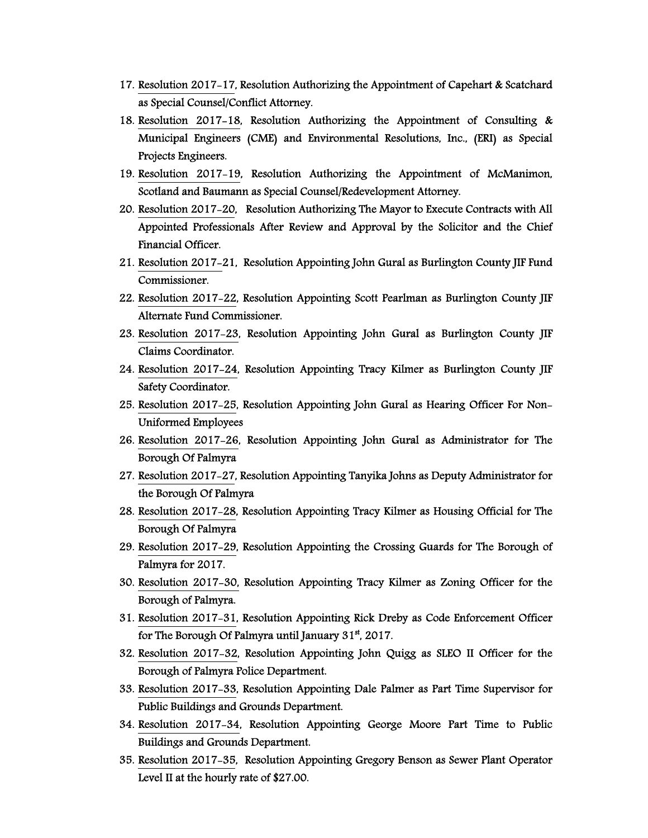- 17. Resolution 2017-17, Resolution Authorizing the Appointment of Capehart & Scatchard as Special Counsel/Conflict Attorney.
- 18. Resolution 2017-18, Resolution Authorizing the Appointment of Consulting & Municipal Engineers (CME) and Environmental Resolutions, Inc., (ERI) as Special Projects Engineers.
- 19. Resolution 2017-19, Resolution Authorizing the Appointment of McManimon, Scotland and Baumann as Special Counsel/Redevelopment Attorney.
- 20. Resolution 2017-20, Resolution Authorizing The Mayor to Execute Contracts with All Appointed Professionals After Review and Approval by the Solicitor and the Chief Financial Officer.
- 21. Resolution 2017-21, Resolution Appointing John Gural as Burlington County JIF Fund Commissioner.
- 22. Resolution 2017-22, Resolution Appointing Scott Pearlman as Burlington County JIF Alternate Fund Commissioner.
- 23. Resolution 2017-23, Resolution Appointing John Gural as Burlington County JIF Claims Coordinator.
- 24. Resolution 2017-24, Resolution Appointing Tracy Kilmer as Burlington County JIF Safety Coordinator.
- 25. Resolution 2017-25, Resolution Appointing John Gural as Hearing Officer For Non-Uniformed Employees
- 26. Resolution 2017-26, Resolution Appointing John Gural as Administrator for The Borough Of Palmyra
- 27. Resolution 2017-27, Resolution Appointing Tanyika Johns as Deputy Administrator for the Borough Of Palmyra
- 28. Resolution 2017-28, Resolution Appointing Tracy Kilmer as Housing Official for The Borough Of Palmyra
- 29. Resolution 2017-29, Resolution Appointing the Crossing Guards for The Borough of Palmyra for 2017.
- 30. Resolution 2017-30, Resolution Appointing Tracy Kilmer as Zoning Officer for the Borough of Palmyra.
- 31. Resolution 2017-31, Resolution Appointing Rick Dreby as Code Enforcement Officer for The Borough Of Palmyra until January  $31<sup>st</sup>$ , 2017.
- 32. Resolution 2017-32, Resolution Appointing John Quigg as SLEO II Officer for the Borough of Palmyra Police Department.
- 33. Resolution 2017-33, Resolution Appointing Dale Palmer as Part Time Supervisor for Public Buildings and Grounds Department.
- 34. Resolution 2017-34, Resolution Appointing George Moore Part Time to Public Buildings and Grounds Department.
- 35. Resolution 2017-35, Resolution Appointing Gregory Benson as Sewer Plant Operator Level II at the hourly rate of \$27.00.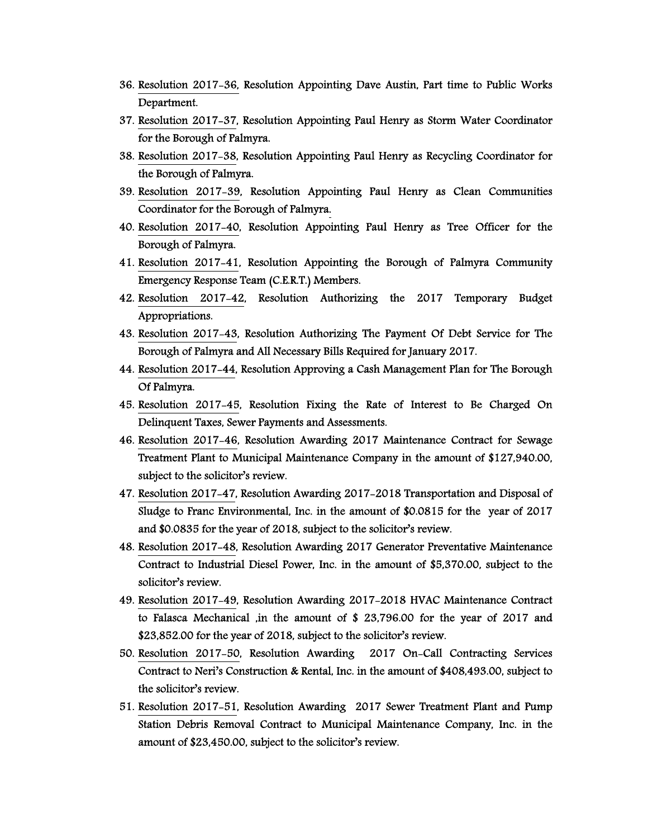- 36. Resolution 2017-36, Resolution Appointing Dave Austin, Part time to Public Works Department.
- 37. Resolution 2017-37, Resolution Appointing Paul Henry as Storm Water Coordinator for the Borough of Palmyra.
- 38. Resolution 2017-38, Resolution Appointing Paul Henry as Recycling Coordinator for the Borough of Palmyra.
- 39. Resolution 2017-39, Resolution Appointing Paul Henry as Clean Communities Coordinator for the Borough of Palmyra.
- 40. Resolution 2017-40, Resolution Appointing Paul Henry as Tree Officer for the Borough of Palmyra.
- 41. Resolution 2017-41, Resolution Appointing the Borough of Palmyra Community Emergency Response Team (C.E.R.T.) Members.
- 42. Resolution 2017-42, Resolution Authorizing the 2017 Temporary Budget Appropriations.
- 43. Resolution 2017-43, Resolution Authorizing The Payment Of Debt Service for The Borough of Palmyra and All Necessary Bills Required for January 2017.
- 44. Resolution 2017-44, Resolution Approving a Cash Management Plan for The Borough Of Palmyra.
- 45. Resolution 2017-45, Resolution Fixing the Rate of Interest to Be Charged On Delinquent Taxes, Sewer Payments and Assessments.
- 46. Resolution 2017-46, Resolution Awarding 2017 Maintenance Contract for Sewage Treatment Plant to Municipal Maintenance Company in the amount of \$127,940.00, subject to the solicitor's review.
- 47. Resolution 2017-47, Resolution Awarding 2017-2018 Transportation and Disposal of Sludge to Franc Environmental, Inc. in the amount of \$0.0815 for the year of 2017 and \$0.0835 for the year of 2018, subject to the solicitor's review.
- 48. Resolution 2017-48, Resolution Awarding 2017 Generator Preventative Maintenance Contract to Industrial Diesel Power, Inc. in the amount of \$5,370.00, subject to the solicitor's review.
- 49. Resolution 2017-49, Resolution Awarding 2017-2018 HVAC Maintenance Contract to Falasca Mechanical ,in the amount of \$ 23,796.00 for the year of 2017 and \$23,852.00 for the year of 2018, subject to the solicitor's review.
- 50. Resolution 2017-50, Resolution Awarding 2017 On-Call Contracting Services Contract to Neri's Construction & Rental, Inc. in the amount of \$408,493.00, subject to the solicitor's review.
- 51. Resolution 2017-51, Resolution Awarding 2017 Sewer Treatment Plant and Pump Station Debris Removal Contract to Municipal Maintenance Company, Inc. in the amount of \$23,450.00, subject to the solicitor's review.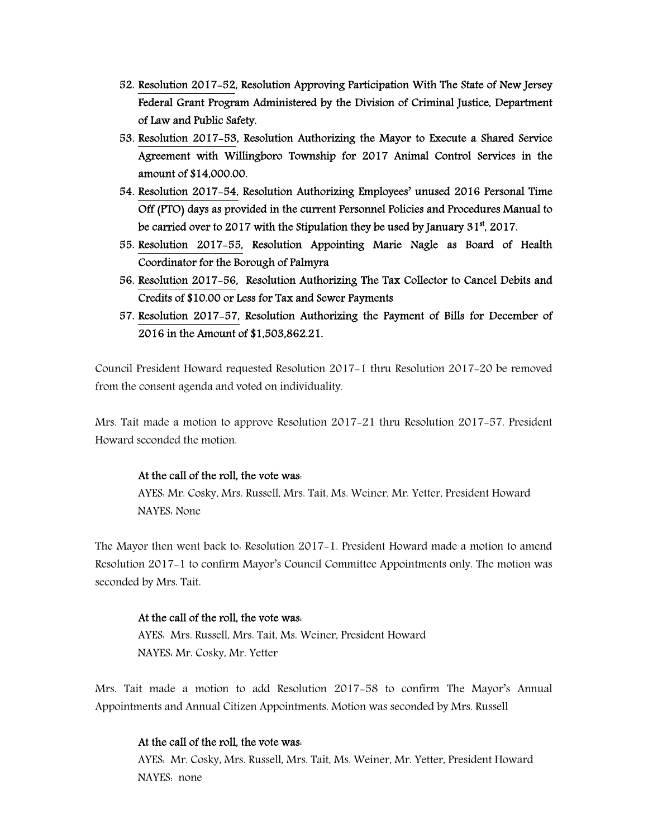- 52. Resolution 2017-52, Resolution Approving Participation With The State of New Jersey Federal Grant Program Administered by the Division of Criminal Justice, Department of Law and Public Safety.
- 53. Resolution 2017-53, Resolution Authorizing the Mayor to Execute a Shared Service Agreement with Willingboro Township for 2017 Animal Control Services in the amount of \$14,000.00.
- 54. Resolution 2017-54, Resolution Authorizing Employees' unused 2016 Personal Time Off (PTO) days as provided in the current Personnel Policies and Procedures Manual to be carried over to 2017 with the Stipulation they be used by January  $31<sup>st</sup>$ , 2017.
- 55. Resolution 2017-55, Resolution Appointing Marie Nagle as Board of Health Coordinator for the Borough of Palmyra
- 56. Resolution 2017-56, Resolution Authorizing The Tax Collector to Cancel Debits and Credits of \$10.00 or Less for Tax and Sewer Payments
- 57. Resolution 2017-57, Resolution Authorizing the Payment of Bills for December of 2016 in the Amount of \$1,503,862.21.

Council President Howard requested Resolution 2017-1 thru Resolution 2017-20 be removed from the consent agenda and voted on individuality.

Mrs. Tait made a motion to approve Resolution 2017-21 thru Resolution 2017-57. President Howard seconded the motion.

#### At the call of the roll, the vote was:

 AYES: Mr. Cosky, Mrs. Russell, Mrs. Tait, Ms. Weiner, Mr. Yetter, President Howard NAYES: None

The Mayor then went back to: Resolution 2017-1. President Howard made a motion to amend Resolution 2017-1 to confirm Mayor's Council Committee Appointments only. The motion was seconded by Mrs. Tait.

#### At the call of the roll, the vote was:

 AYES: Mrs. Russell, Mrs. Tait, Ms. Weiner, President Howard NAYES: Mr. Cosky, Mr. Yetter

Mrs. Tait made a motion to add Resolution 2017-58 to confirm The Mayor's Annual Appointments and Annual Citizen Appointments. Motion was seconded by Mrs. Russell

## At the call of the roll, the vote was:

 AYES: Mr. Cosky, Mrs. Russell, Mrs. Tait, Ms. Weiner, Mr. Yetter, President Howard NAYES: none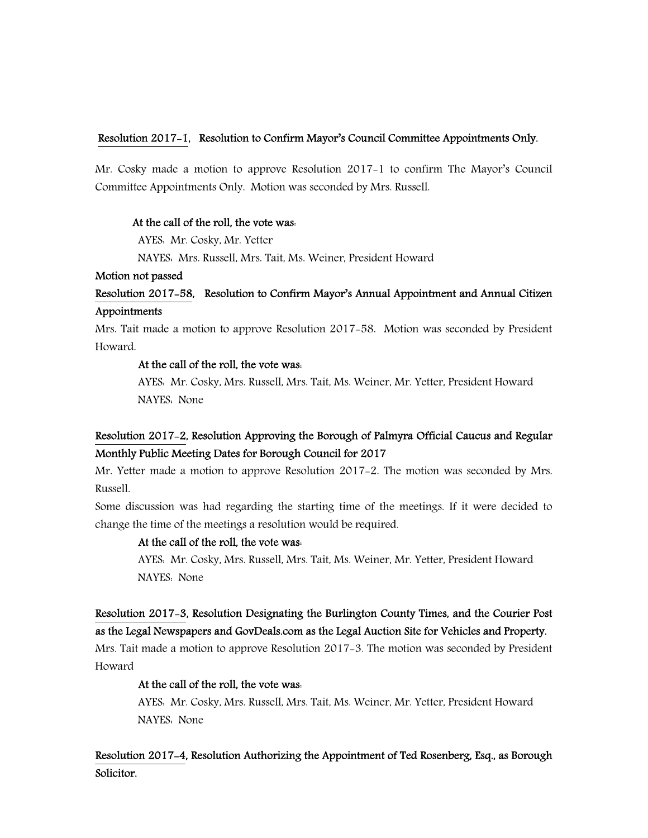## Resolution 2017-1, Resolution to Confirm Mayor's Council Committee Appointments Only.

Mr. Cosky made a motion to approve Resolution 2017-1 to confirm The Mayor's Council Committee Appointments Only. Motion was seconded by Mrs. Russell.

## At the call of the roll, the vote was:

AYES: Mr. Cosky, Mr. Yetter

NAYES: Mrs. Russell, Mrs. Tait, Ms. Weiner, President Howard

## Motion not passed

# Resolution 2017-58, Resolution to Confirm Mayor's Annual Appointment and Annual Citizen Appointments

Mrs. Tait made a motion to approve Resolution 2017-58. Motion was seconded by President Howard.

## At the call of the roll, the vote was:

 AYES: Mr. Cosky, Mrs. Russell, Mrs. Tait, Ms. Weiner, Mr. Yetter, President Howard NAYES: None

# Resolution 2017-2, Resolution Approving the Borough of Palmyra Official Caucus and Regular Monthly Public Meeting Dates for Borough Council for 2017

Mr. Yetter made a motion to approve Resolution 2017-2. The motion was seconded by Mrs. Russell.

Some discussion was had regarding the starting time of the meetings. If it were decided to change the time of the meetings a resolution would be required.

## At the call of the roll, the vote was:

 AYES: Mr. Cosky, Mrs. Russell, Mrs. Tait, Ms. Weiner, Mr. Yetter, President Howard NAYES: None

# Resolution 2017-3, Resolution Designating the Burlington County Times, and the Courier Post as the Legal Newspapers and GovDeals.com as the Legal Auction Site for Vehicles and Property.

Mrs. Tait made a motion to approve Resolution 2017-3. The motion was seconded by President Howard

## At the call of the roll, the vote was:

 AYES: Mr. Cosky, Mrs. Russell, Mrs. Tait, Ms. Weiner, Mr. Yetter, President Howard NAYES: None

# Resolution 2017-4, Resolution Authorizing the Appointment of Ted Rosenberg, Esq., as Borough Solicitor.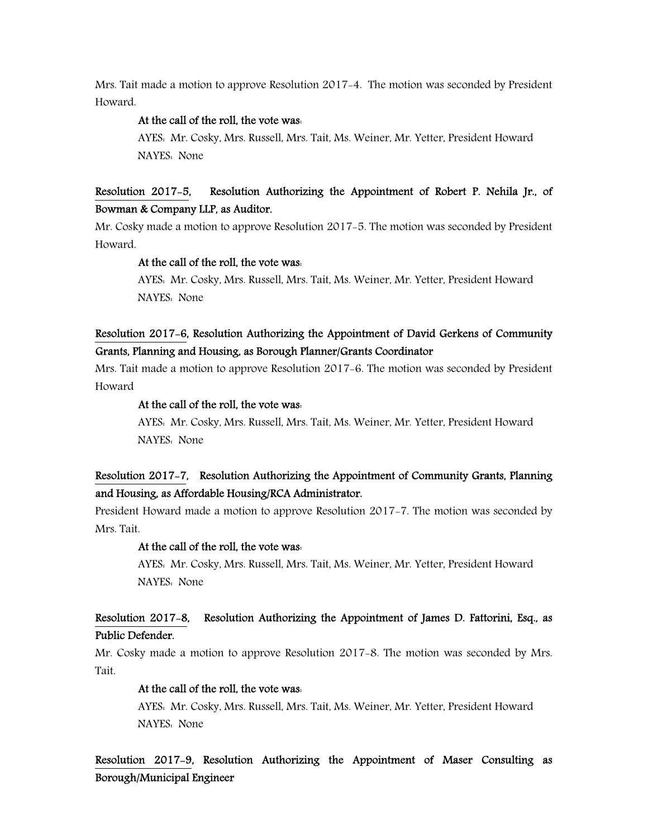Mrs. Tait made a motion to approve Resolution 2017-4. The motion was seconded by President Howard.

#### At the call of the roll, the vote was:

 AYES: Mr. Cosky, Mrs. Russell, Mrs. Tait, Ms. Weiner, Mr. Yetter, President Howard NAYES: None

# Resolution 2017-5, Resolution Authorizing the Appointment of Robert P. Nehila Jr., of Bowman & Company LLP, as Auditor.

Mr. Cosky made a motion to approve Resolution 2017-5. The motion was seconded by President Howard.

#### At the call of the roll, the vote was:

 AYES: Mr. Cosky, Mrs. Russell, Mrs. Tait, Ms. Weiner, Mr. Yetter, President Howard NAYES: None

# Resolution 2017-6, Resolution Authorizing the Appointment of David Gerkens of Community Grants, Planning and Housing, as Borough Planner/Grants Coordinator

Mrs. Tait made a motion to approve Resolution 2017-6. The motion was seconded by President Howard

#### At the call of the roll, the vote was:

 AYES: Mr. Cosky, Mrs. Russell, Mrs. Tait, Ms. Weiner, Mr. Yetter, President Howard NAYES: None

# Resolution 2017-7, Resolution Authorizing the Appointment of Community Grants, Planning and Housing, as Affordable Housing/RCA Administrator.

President Howard made a motion to approve Resolution 2017-7. The motion was seconded by Mrs. Tait.

#### At the call of the roll, the vote was:

 AYES: Mr. Cosky, Mrs. Russell, Mrs. Tait, Ms. Weiner, Mr. Yetter, President Howard NAYES: None

## Resolution 2017-8, Resolution Authorizing the Appointment of James D. Fattorini, Esq., as Public Defender.

Mr. Cosky made a motion to approve Resolution 2017-8. The motion was seconded by Mrs. Tait.

## At the call of the roll, the vote was:

 AYES: Mr. Cosky, Mrs. Russell, Mrs. Tait, Ms. Weiner, Mr. Yetter, President Howard NAYES: None

# Resolution 2017-9, Resolution Authorizing the Appointment of Maser Consulting as Borough/Municipal Engineer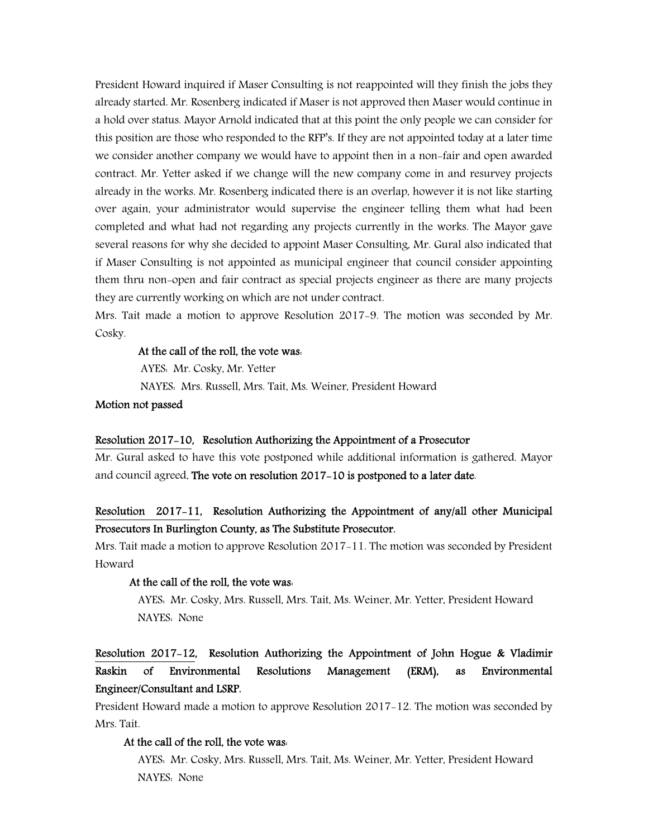President Howard inquired if Maser Consulting is not reappointed will they finish the jobs they already started. Mr. Rosenberg indicated if Maser is not approved then Maser would continue in a hold over status. Mayor Arnold indicated that at this point the only people we can consider for this position are those who responded to the RFP's. If they are not appointed today at a later time we consider another company we would have to appoint then in a non-fair and open awarded contract. Mr. Yetter asked if we change will the new company come in and resurvey projects already in the works. Mr. Rosenberg indicated there is an overlap, however it is not like starting over again, your administrator would supervise the engineer telling them what had been completed and what had not regarding any projects currently in the works. The Mayor gave several reasons for why she decided to appoint Maser Consulting, Mr. Gural also indicated that if Maser Consulting is not appointed as municipal engineer that council consider appointing them thru non-open and fair contract as special projects engineer as there are many projects they are currently working on which are not under contract.

Mrs. Tait made a motion to approve Resolution 2017-9. The motion was seconded by Mr. Cosky.

#### At the call of the roll, the vote was:

AYES: Mr. Cosky, Mr. Yetter

NAYES: Mrs. Russell, Mrs. Tait, Ms. Weiner, President Howard

## Motion not passed

#### Resolution 2017-10, Resolution Authorizing the Appointment of a Prosecutor

Mr. Gural asked to have this vote postponed while additional information is gathered. Mayor and council agreed. The vote on resolution 2017-10 is postponed to a later date.

## Resolution 2017-11, Resolution Authorizing the Appointment of any/all other Municipal Prosecutors In Burlington County, as The Substitute Prosecutor.

Mrs. Tait made a motion to approve Resolution 2017-11. The motion was seconded by President Howard

## At the call of the roll, the vote was:

 AYES: Mr. Cosky, Mrs. Russell, Mrs. Tait, Ms. Weiner, Mr. Yetter, President Howard NAYES: None

# Resolution 2017-12, Resolution Authorizing the Appointment of John Hogue & Vladimir Raskin of Environmental Resolutions Management (ERM), as Environmental Engineer/Consultant and LSRP.

President Howard made a motion to approve Resolution 2017-12. The motion was seconded by Mrs. Tait.

## At the call of the roll, the vote was:

 AYES: Mr. Cosky, Mrs. Russell, Mrs. Tait, Ms. Weiner, Mr. Yetter, President Howard NAYES: None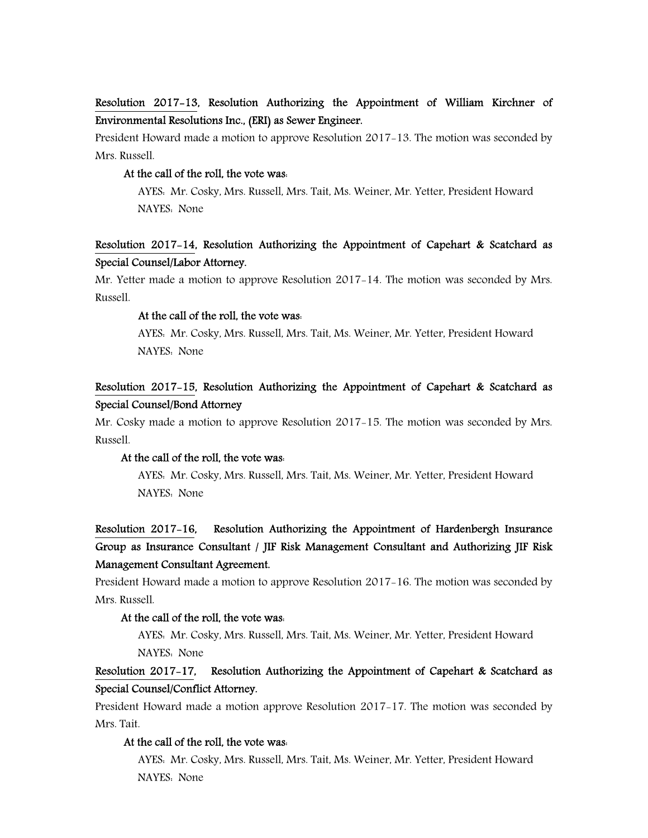# Resolution 2017-13, Resolution Authorizing the Appointment of William Kirchner of Environmental Resolutions Inc., (ERI) as Sewer Engineer.

President Howard made a motion to approve Resolution 2017-13. The motion was seconded by Mrs. Russell.

#### At the call of the roll, the vote was:

 AYES: Mr. Cosky, Mrs. Russell, Mrs. Tait, Ms. Weiner, Mr. Yetter, President Howard NAYES: None

# Resolution 2017-14, Resolution Authorizing the Appointment of Capehart & Scatchard as Special Counsel/Labor Attorney.

Mr. Yetter made a motion to approve Resolution 2017-14. The motion was seconded by Mrs. Russell.

#### At the call of the roll, the vote was:

 AYES: Mr. Cosky, Mrs. Russell, Mrs. Tait, Ms. Weiner, Mr. Yetter, President Howard NAYES: None

# Resolution 2017-15, Resolution Authorizing the Appointment of Capehart & Scatchard as Special Counsel/Bond Attorney

Mr. Cosky made a motion to approve Resolution 2017-15. The motion was seconded by Mrs. Russell.

#### At the call of the roll, the vote was:

 AYES: Mr. Cosky, Mrs. Russell, Mrs. Tait, Ms. Weiner, Mr. Yetter, President Howard NAYES: None

# Resolution 2017-16, Resolution Authorizing the Appointment of Hardenbergh Insurance Group as Insurance Consultant / JIF Risk Management Consultant and Authorizing JIF Risk Management Consultant Agreement.

President Howard made a motion to approve Resolution 2017-16. The motion was seconded by Mrs. Russell.

#### At the call of the roll, the vote was:

 AYES: Mr. Cosky, Mrs. Russell, Mrs. Tait, Ms. Weiner, Mr. Yetter, President Howard NAYES: None

# Resolution 2017-17, Resolution Authorizing the Appointment of Capehart & Scatchard as Special Counsel/Conflict Attorney.

President Howard made a motion approve Resolution 2017-17. The motion was seconded by Mrs. Tait.

## At the call of the roll, the vote was:

 AYES: Mr. Cosky, Mrs. Russell, Mrs. Tait, Ms. Weiner, Mr. Yetter, President Howard NAYES: None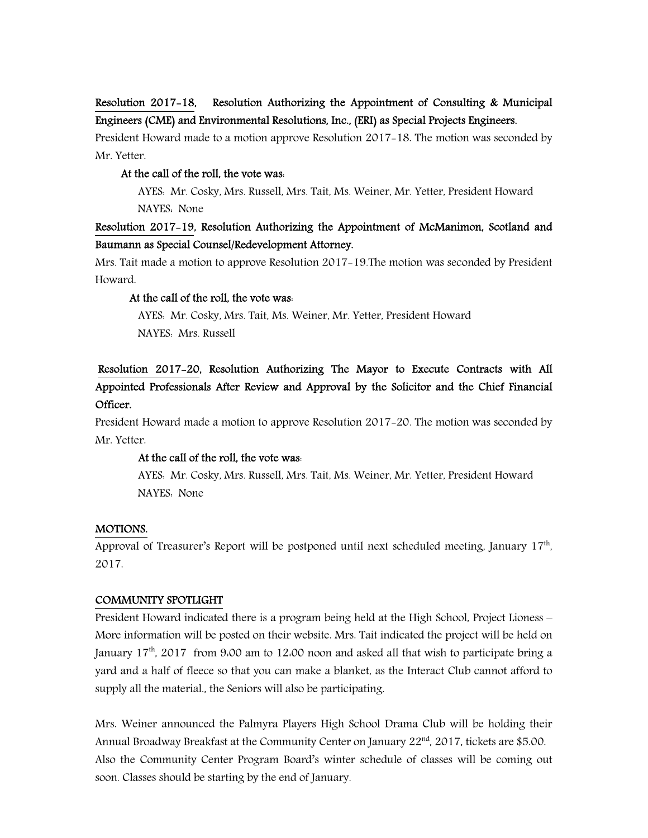# Resolution 2017-18, Resolution Authorizing the Appointment of Consulting & Municipal Engineers (CME) and Environmental Resolutions, Inc., (ERI) as Special Projects Engineers.

President Howard made to a motion approve Resolution 2017-18. The motion was seconded by Mr. Yetter.

## At the call of the roll, the vote was:

 AYES: Mr. Cosky, Mrs. Russell, Mrs. Tait, Ms. Weiner, Mr. Yetter, President Howard NAYES: None

# Resolution 2017-19, Resolution Authorizing the Appointment of McManimon, Scotland and Baumann as Special Counsel/Redevelopment Attorney.

Mrs. Tait made a motion to approve Resolution 2017-19.The motion was seconded by President Howard.

## At the call of the roll, the vote was:

 AYES: Mr. Cosky, Mrs. Tait, Ms. Weiner, Mr. Yetter, President Howard NAYES: Mrs. Russell

# Resolution 2017-20, Resolution Authorizing The Mayor to Execute Contracts with All Appointed Professionals After Review and Approval by the Solicitor and the Chief Financial Officer.

President Howard made a motion to approve Resolution 2017-20. The motion was seconded by Mr. Yetter.

## At the call of the roll, the vote was:

 AYES: Mr. Cosky, Mrs. Russell, Mrs. Tait, Ms. Weiner, Mr. Yetter, President Howard NAYES: None

## MOTIONS.

Approval of Treasurer's Report will be postponed until next scheduled meeting, January 17<sup>th</sup>, 2017.

## COMMUNITY SPOTLIGHT

President Howard indicated there is a program being held at the High School, Project Lioness – More information will be posted on their website. Mrs. Tait indicated the project will be held on January  $17<sup>th</sup>$ , 2017 from 9:00 am to 12:00 noon and asked all that wish to participate bring a yard and a half of fleece so that you can make a blanket, as the Interact Club cannot afford to supply all the material., the Seniors will also be participating.

Mrs. Weiner announced the Palmyra Players High School Drama Club will be holding their Annual Broadway Breakfast at the Community Center on January  $22<sup>nd</sup>$ , 2017, tickets are \$5.00. Also the Community Center Program Board's winter schedule of classes will be coming out soon. Classes should be starting by the end of January.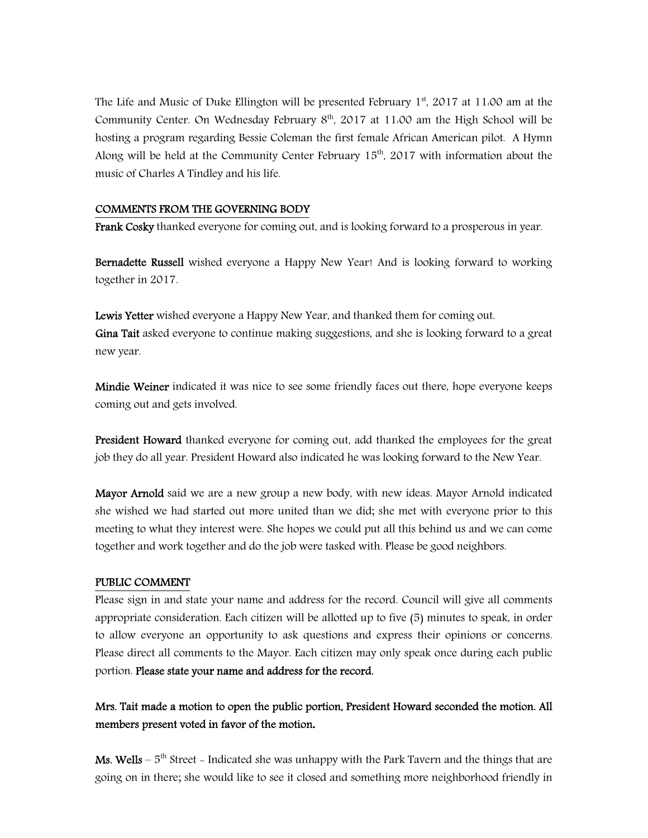The Life and Music of Duke Ellington will be presented February  $1<sup>st</sup>$ , 2017 at 11:00 am at the Community Center. On Wednesday February  $8<sup>th</sup>$ , 2017 at 11:00 am the High School will be hosting a program regarding Bessie Coleman the first female African American pilot. A Hymn Along will be held at the Community Center February  $15<sup>th</sup>$ , 2017 with information about the music of Charles A Tindley and his life.

## COMMENTS FROM THE GOVERNING BODY

Frank Cosky thanked everyone for coming out, and is looking forward to a prosperous in year.

Bernadette Russell wished everyone a Happy New Year! And is looking forward to working together in 2017.

Lewis Yetter wished everyone a Happy New Year, and thanked them for coming out. Gina Tait asked everyone to continue making suggestions, and she is looking forward to a great new year.

**Mindie Weiner** indicated it was nice to see some friendly faces out there, hope everyone keeps coming out and gets involved.

President Howard thanked everyone for coming out, add thanked the employees for the great job they do all year. President Howard also indicated he was looking forward to the New Year.

**Mayor Arnold** said we are a new group a new body, with new ideas. Mayor Arnold indicated she wished we had started out more united than we did; she met with everyone prior to this meeting to what they interest were. She hopes we could put all this behind us and we can come together and work together and do the job were tasked with. Please be good neighbors.

## PUBLIC COMMENT

Please sign in and state your name and address for the record. Council will give all comments appropriate consideration. Each citizen will be allotted up to five (5) minutes to speak, in order to allow everyone an opportunity to ask questions and express their opinions or concerns. Please direct all comments to the Mayor. Each citizen may only speak once during each public portion. Please state your name and address for the record.

Mrs. Tait made a motion to open the public portion, President Howard seconded the motion. All members present voted in favor of the motion**.** 

**Ms. Wells** –  $5<sup>th</sup>$  Street – Indicated she was unhappy with the Park Tavern and the things that are going on in there; she would like to see it closed and something more neighborhood friendly in